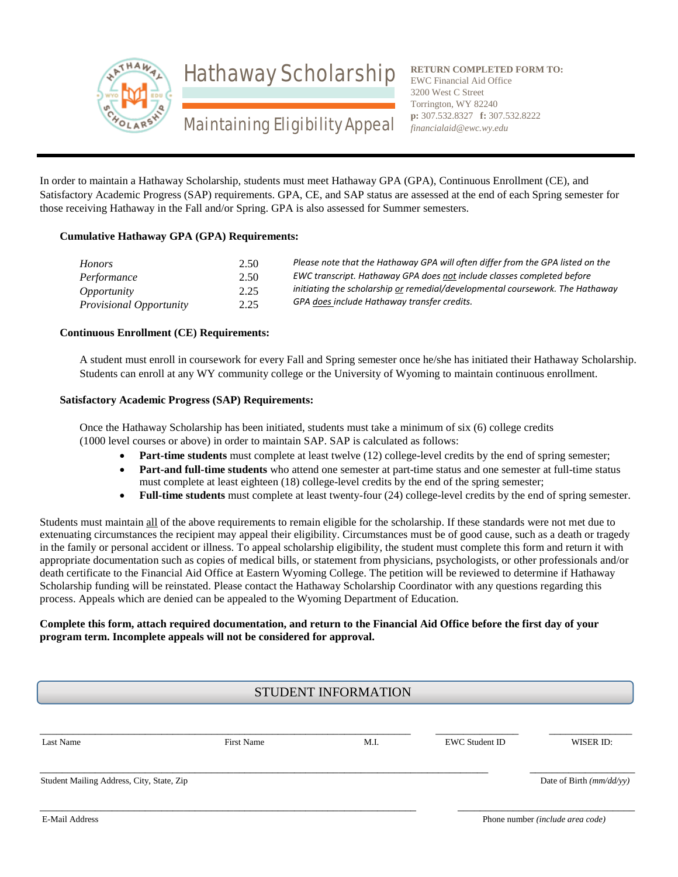

Hathaway Scholarship

**RETURN COMPLETED FORM TO:** EWC Financial Aid Office 3200 West C Street Torrington, WY 82240 **p:** 307.532.8327 **f:** 307.532.8222 *financialaid@ewc.wy.edu*

# Maintaining Eligibility Appeal

In order to maintain a Hathaway Scholarship, students must meet Hathaway GPA (GPA), Continuous Enrollment (CE), and Satisfactory Academic Progress (SAP) requirements. GPA, CE, and SAP status are assessed at the end of each Spring semester for those receiving Hathaway in the Fall and/or Spring. GPA is also assessed for Summer semesters.

#### **Cumulative Hathaway GPA (GPA) Requirements:**

| <i>Honors</i>                  | 2.50 | Please note that the Hathaway GPA will often differ from the GPA listed on the |
|--------------------------------|------|--------------------------------------------------------------------------------|
| Performance                    | 2.50 | EWC transcript. Hathaway GPA does not include classes completed before         |
| <i>Opportunity</i>             | 2.25 | initiating the scholarship or remedial/developmental coursework. The Hathaway  |
| <i>Provisional Opportunity</i> | 2.25 | GPA does include Hathaway transfer credits.                                    |

#### **Continuous Enrollment (CE) Requirements:**

A student must enroll in coursework for every Fall and Spring semester once he/she has initiated their Hathaway Scholarship. Students can enroll at any WY community college or the University of Wyoming to maintain continuous enrollment.

#### **Satisfactory Academic Progress (SAP) Requirements:**

Once the Hathaway Scholarship has been initiated, students must take a minimum of six (6) college credits (1000 level courses or above) in order to maintain SAP. SAP is calculated as follows:

- **Part-time students** must complete at least twelve (12) college-level credits by the end of spring semester;
- **Part-and full-time students** who attend one semester at part-time status and one semester at full-time status must complete at least eighteen (18) college-level credits by the end of the spring semester;
- **Full-time students** must complete at least twenty-four (24) college-level credits by the end of spring semester.

Students must maintain all of the above requirements to remain eligible for the scholarship. If these standards were not met due to extenuating circumstances the recipient may appeal their eligibility. Circumstances must be of good cause, such as a death or tragedy in the family or personal accident or illness. To appeal scholarship eligibility, the student must complete this form and return it with appropriate documentation such as copies of medical bills, or statement from physicians, psychologists, or other professionals and/or death certificate to the Financial Aid Office at Eastern Wyoming College. The petition will be reviewed to determine if Hathaway Scholarship funding will be reinstated. Please contact the Hathaway Scholarship Coordinator with any questions regarding this process. Appeals which are denied can be appealed to the Wyoming Department of Education.

#### **Complete this form, attach required documentation, and return to the Financial Aid Office before the first day of your program term. Incomplete appeals will not be considered for approval.**

# STUDENT INFORMATION

| Last Name                                 | <b>First Name</b> | M.I. | EWC Student ID | WISER ID:                |
|-------------------------------------------|-------------------|------|----------------|--------------------------|
| Student Mailing Address, City, State, Zip |                   |      |                | Date of Birth (mm/dd/yy) |